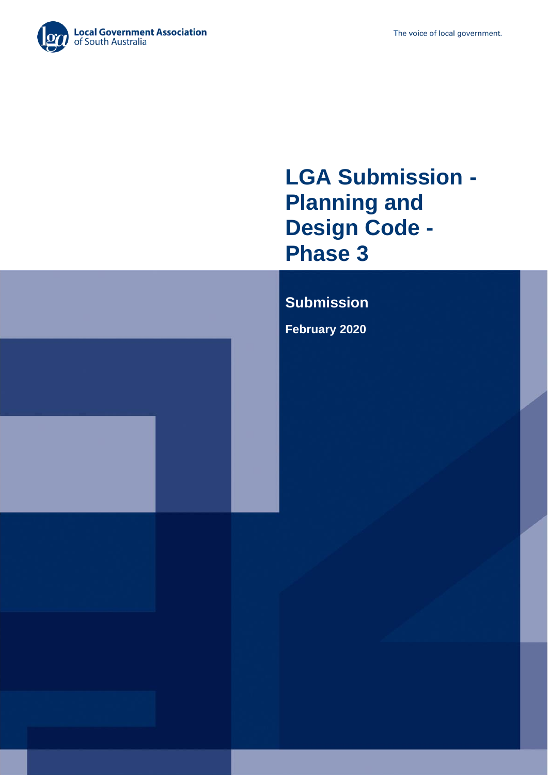

# **LGA Submission - Planning and Design Code - Phase 3**

## **Submission**

**February 2020**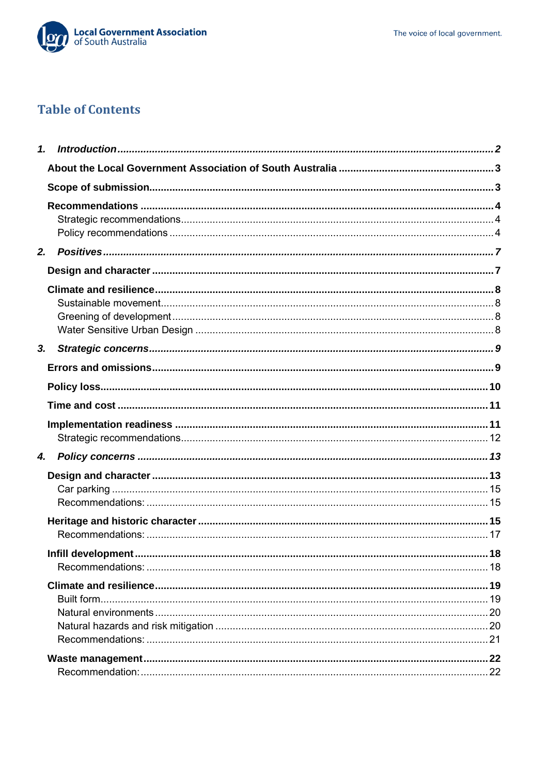

## **Table of Contents**

<span id="page-1-0"></span>

| 2. |                    |    |
|----|--------------------|----|
|    |                    |    |
|    |                    |    |
|    |                    |    |
|    |                    |    |
|    |                    |    |
| 3. |                    |    |
|    |                    |    |
|    |                    |    |
|    |                    |    |
|    |                    |    |
|    |                    |    |
| 4. |                    |    |
|    |                    |    |
|    |                    |    |
|    |                    |    |
|    |                    |    |
|    |                    |    |
|    | Infill development | 18 |
|    |                    |    |
|    |                    |    |
|    |                    |    |
|    |                    |    |
|    |                    |    |
|    |                    |    |
|    |                    |    |
|    |                    |    |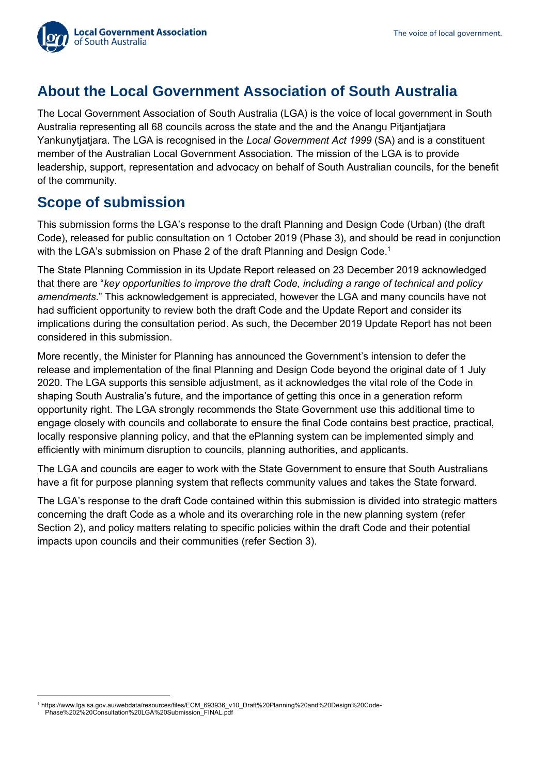

## <span id="page-2-0"></span>**About the Local Government Association of South Australia**

The Local Government Association of South Australia (LGA) is the voice of local government in South Australia representing all 68 councils across the state and the and the Anangu Pitjantjatjara Yankunytjatjara. The LGA is recognised in the *Local Government Act 1999* (SA) and is a constituent member of the Australian Local Government Association. The mission of the LGA is to provide leadership, support, representation and advocacy on behalf of South Australian councils, for the benefit of the community.

### <span id="page-2-1"></span>**Scope of submission**

This submission forms the LGA's response to the draft Planning and Design Code (Urban) (the draft Code), released for public consultation on 1 October 2019 (Phase 3), and should be read in conjunction with the LGA's submission on Phase 2 of the draft Planning and Design Code.<sup>1</sup>

The State Planning Commission in its Update Report released on 23 December 2019 acknowledged that there are "*key opportunities to improve the draft Code, including a range of technical and policy amendments*." This acknowledgement is appreciated, however the LGA and many councils have not had sufficient opportunity to review both the draft Code and the Update Report and consider its implications during the consultation period. As such, the December 2019 Update Report has not been considered in this submission.

More recently, the Minister for Planning has announced the Government's intension to defer the release and implementation of the final Planning and Design Code beyond the original date of 1 July 2020. The LGA supports this sensible adjustment, as it acknowledges the vital role of the Code in shaping South Australia's future, and the importance of getting this once in a generation reform opportunity right. The LGA strongly recommends the State Government use this additional time to engage closely with councils and collaborate to ensure the final Code contains best practice, practical, locally responsive planning policy, and that the ePlanning system can be implemented simply and efficiently with minimum disruption to councils, planning authorities, and applicants.

The LGA and councils are eager to work with the State Government to ensure that South Australians have a fit for purpose planning system that reflects community values and takes the State forward.

<span id="page-2-2"></span>The LGA's response to the draft Code contained within this submission is divided into strategic matters concerning the draft Code as a whole and its overarching role in the new planning system (refer Section 2), and policy matters relating to specific policies within the draft Code and their potential impacts upon councils and their communities (refer Section 3).

<sup>1</sup> https://www.lga.sa.gov.au/webdata/resources/files/ECM\_693936\_v10\_Draft%20Planning%20and%20Design%20Code-Phase%202%20Consultation%20LGA%20Submission\_FINAL.pdf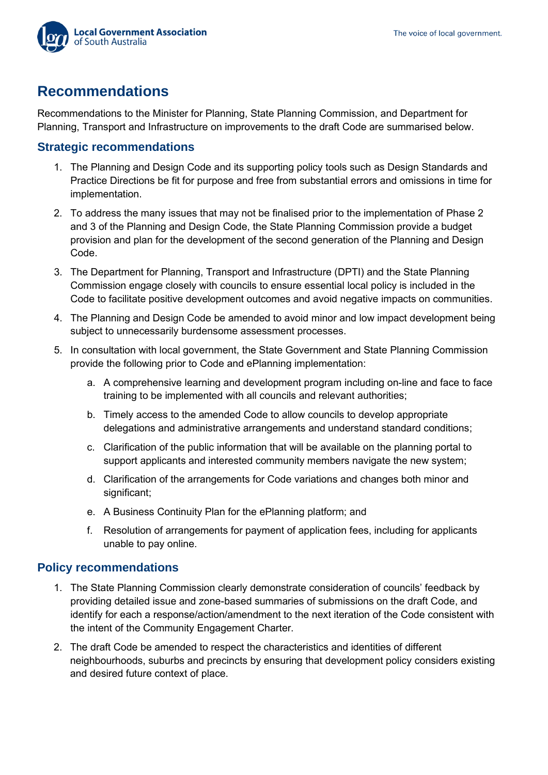

### **Recommendations**

Recommendations to the Minister for Planning, State Planning Commission, and Department for Planning, Transport and Infrastructure on improvements to the draft Code are summarised below.

#### <span id="page-3-0"></span>**Strategic recommendations**

- 1. The Planning and Design Code and its supporting policy tools such as Design Standards and Practice Directions be fit for purpose and free from substantial errors and omissions in time for implementation.
- 2. To address the many issues that may not be finalised prior to the implementation of Phase 2 and 3 of the Planning and Design Code, the State Planning Commission provide a budget provision and plan for the development of the second generation of the Planning and Design Code.
- 3. The Department for Planning, Transport and Infrastructure (DPTI) and the State Planning Commission engage closely with councils to ensure essential local policy is included in the Code to facilitate positive development outcomes and avoid negative impacts on communities.
- 4. The Planning and Design Code be amended to avoid minor and low impact development being subject to unnecessarily burdensome assessment processes.
- 5. In consultation with local government, the State Government and State Planning Commission provide the following prior to Code and ePlanning implementation:
	- a. A comprehensive learning and development program including on-line and face to face training to be implemented with all councils and relevant authorities;
	- b. Timely access to the amended Code to allow councils to develop appropriate delegations and administrative arrangements and understand standard conditions;
	- c. Clarification of the public information that will be available on the planning portal to support applicants and interested community members navigate the new system;
	- d. Clarification of the arrangements for Code variations and changes both minor and significant;
	- e. A Business Continuity Plan for the ePlanning platform; and
	- f. Resolution of arrangements for payment of application fees, including for applicants unable to pay online.

#### <span id="page-3-1"></span>**Policy recommendations**

- 1. The State Planning Commission clearly demonstrate consideration of councils' feedback by providing detailed issue and zone-based summaries of submissions on the draft Code, and identify for each a response/action/amendment to the next iteration of the Code consistent with the intent of the Community Engagement Charter.
- 2. The draft Code be amended to respect the characteristics and identities of different neighbourhoods, suburbs and precincts by ensuring that development policy considers existing and desired future context of place.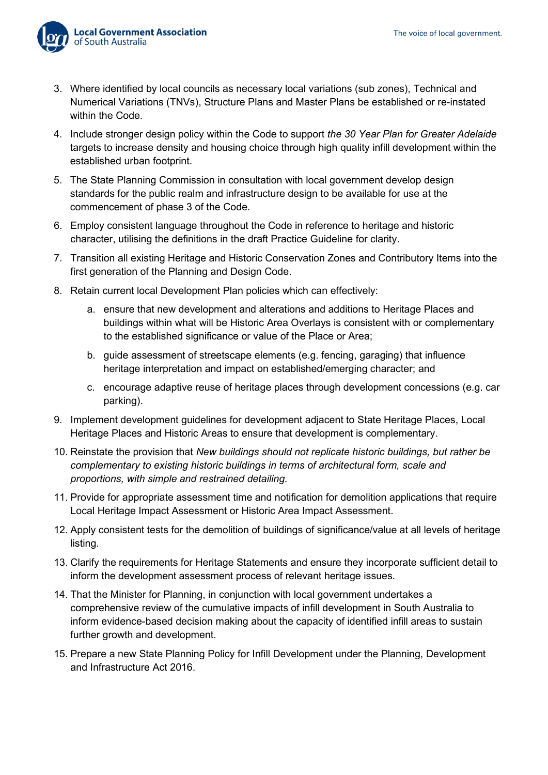

- 3. Where identified by local councils as necessary local variations (sub zones), Technical and Numerical Variations (TNVs), Structure Plans and Master Plans be established or re-instated within the Code.
- 4. Include stronger design policy within the Code to support *the 30 Year Plan for Greater Adelaide* targets to increase density and housing choice through high quality infill development within the established urban footprint.
- 5. The State Planning Commission in consultation with local government develop design standards for the public realm and infrastructure design to be available for use at the commencement of phase 3 of the Code.
- 6. Employ consistent language throughout the Code in reference to heritage and historic character, utilising the definitions in the draft Practice Guideline for clarity.
- 7. Transition all existing Heritage and Historic Conservation Zones and Contributory Items into the first generation of the Planning and Design Code.
- 8. Retain current local Development Plan policies which can effectively:
	- a. ensure that new development and alterations and additions to Heritage Places and buildings within what will be Historic Area Overlays is consistent with or complementary to the established significance or value of the Place or Area;
	- b. guide assessment of streetscape elements (e.g. fencing, garaging) that influence heritage interpretation and impact on established/emerging character; and
	- c. encourage adaptive reuse of heritage places through development concessions (e.g. car parking).
- 9. Implement development guidelines for development adjacent to State Heritage Places, Local Heritage Places and Historic Areas to ensure that development is complementary.
- 10. Reinstate the provision that *New buildings should not replicate historic buildings, but rather be complementary to existing historic buildings in terms of architectural form, scale and proportions, with simple and restrained detailing.*
- 11. Provide for appropriate assessment time and notification for demolition applications that require Local Heritage Impact Assessment or Historic Area Impact Assessment.
- 12. Apply consistent tests for the demolition of buildings of significance/value at all levels of heritage listing.
- 13. Clarify the requirements for Heritage Statements and ensure they incorporate sufficient detail to inform the development assessment process of relevant heritage issues.
- 14. That the Minister for Planning, in conjunction with local government undertakes a comprehensive review of the cumulative impacts of infill development in South Australia to inform evidence-based decision making about the capacity of identified infill areas to sustain further growth and development.
- 15. Prepare a new State Planning Policy for Infill Development under the Planning, Development and Infrastructure Act 2016.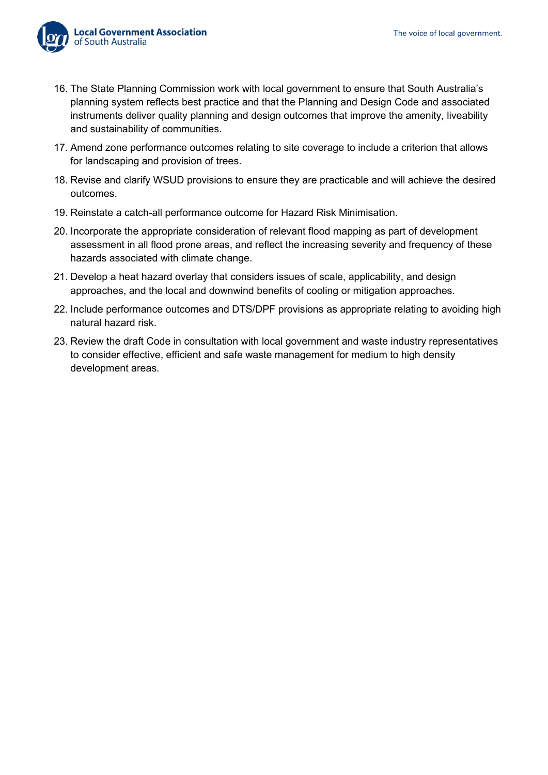

- 16. The State Planning Commission work with local government to ensure that South Australia's planning system reflects best practice and that the Planning and Design Code and associated instruments deliver quality planning and design outcomes that improve the amenity, liveability and sustainability of communities.
- 17. Amend zone performance outcomes relating to site coverage to include a criterion that allows for landscaping and provision of trees.
- 18. Revise and clarify WSUD provisions to ensure they are practicable and will achieve the desired outcomes.
- 19. Reinstate a catch-all performance outcome for Hazard Risk Minimisation.
- 20. Incorporate the appropriate consideration of relevant flood mapping as part of development assessment in all flood prone areas, and reflect the increasing severity and frequency of these hazards associated with climate change.
- 21. Develop a heat hazard overlay that considers issues of scale, applicability, and design approaches, and the local and downwind benefits of cooling or mitigation approaches.
- 22. Include performance outcomes and DTS/DPF provisions as appropriate relating to avoiding high natural hazard risk.
- 23. Review the draft Code in consultation with local government and waste industry representatives to consider effective, efficient and safe waste management for medium to high density development areas.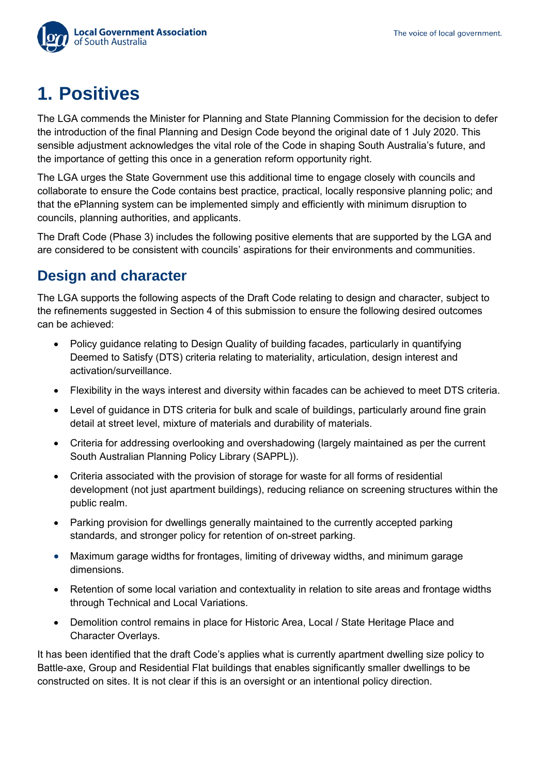

# <span id="page-6-0"></span>**1. Positives**

The LGA commends the Minister for Planning and State Planning Commission for the decision to defer the introduction of the final Planning and Design Code beyond the original date of 1 July 2020. This sensible adjustment acknowledges the vital role of the Code in shaping South Australia's future, and the importance of getting this once in a generation reform opportunity right.

The LGA urges the State Government use this additional time to engage closely with councils and collaborate to ensure the Code contains best practice, practical, locally responsive planning polic; and that the ePlanning system can be implemented simply and efficiently with minimum disruption to councils, planning authorities, and applicants.

The Draft Code (Phase 3) includes the following positive elements that are supported by the LGA and are considered to be consistent with councils' aspirations for their environments and communities.

### <span id="page-6-1"></span>**Design and character**

The LGA supports the following aspects of the Draft Code relating to design and character, subject to the refinements suggested in Section 4 of this submission to ensure the following desired outcomes can be achieved:

- Policy guidance relating to Design Quality of building facades, particularly in quantifying Deemed to Satisfy (DTS) criteria relating to materiality, articulation, design interest and activation/surveillance.
- Flexibility in the ways interest and diversity within facades can be achieved to meet DTS criteria.
- Level of guidance in DTS criteria for bulk and scale of buildings, particularly around fine grain detail at street level, mixture of materials and durability of materials.
- Criteria for addressing overlooking and overshadowing (largely maintained as per the current South Australian Planning Policy Library (SAPPL)).
- Criteria associated with the provision of storage for waste for all forms of residential development (not just apartment buildings), reducing reliance on screening structures within the public realm.
- Parking provision for dwellings generally maintained to the currently accepted parking standards, and stronger policy for retention of on-street parking.
- Maximum garage widths for frontages, limiting of driveway widths, and minimum garage dimensions.
- Retention of some local variation and contextuality in relation to site areas and frontage widths through Technical and Local Variations.
- Demolition control remains in place for Historic Area, Local / State Heritage Place and Character Overlays.

It has been identified that the draft Code's applies what is currently apartment dwelling size policy to Battle-axe, Group and Residential Flat buildings that enables significantly smaller dwellings to be constructed on sites. It is not clear if this is an oversight or an intentional policy direction.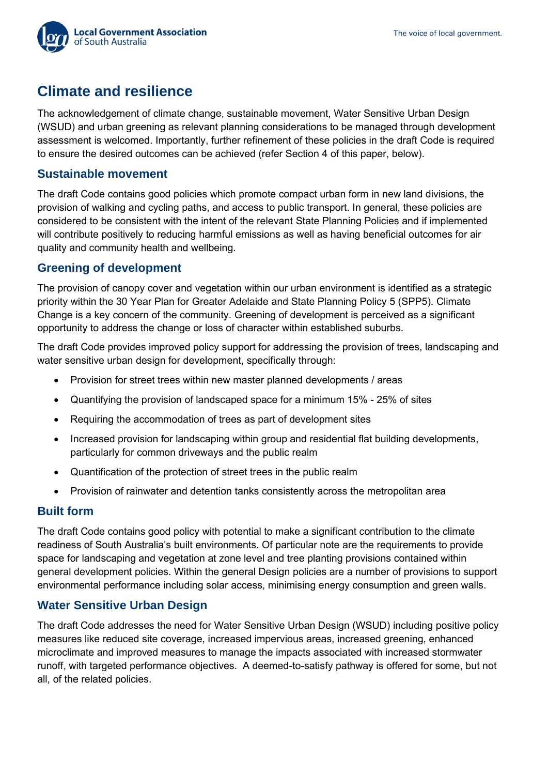

### <span id="page-7-0"></span>**Climate and resilience**

The acknowledgement of climate change, sustainable movement, Water Sensitive Urban Design (WSUD) and urban greening as relevant planning considerations to be managed through development assessment is welcomed. Importantly, further refinement of these policies in the draft Code is required to ensure the desired outcomes can be achieved (refer Section 4 of this paper, below).

#### <span id="page-7-1"></span>**Sustainable movement**

The draft Code contains good policies which promote compact urban form in new land divisions, the provision of walking and cycling paths, and access to public transport. In general, these policies are considered to be consistent with the intent of the relevant State Planning Policies and if implemented will contribute positively to reducing harmful emissions as well as having beneficial outcomes for air quality and community health and wellbeing.

#### <span id="page-7-2"></span>**Greening of development**

The provision of canopy cover and vegetation within our urban environment is identified as a strategic priority within the 30 Year Plan for Greater Adelaide and State Planning Policy 5 (SPP5). Climate Change is a key concern of the community. Greening of development is perceived as a significant opportunity to address the change or loss of character within established suburbs.

The draft Code provides improved policy support for addressing the provision of trees, landscaping and water sensitive urban design for development, specifically through:

- Provision for street trees within new master planned developments / areas
- Quantifying the provision of landscaped space for a minimum 15% 25% of sites
- Requiring the accommodation of trees as part of development sites
- Increased provision for landscaping within group and residential flat building developments, particularly for common driveways and the public realm
- Quantification of the protection of street trees in the public realm
- Provision of rainwater and detention tanks consistently across the metropolitan area

#### **Built form**

The draft Code contains good policy with potential to make a significant contribution to the climate readiness of South Australia's built environments. Of particular note are the requirements to provide space for landscaping and vegetation at zone level and tree planting provisions contained within general development policies. Within the general Design policies are a number of provisions to support environmental performance including solar access, minimising energy consumption and green walls.

### <span id="page-7-3"></span>**Water Sensitive Urban Design**

The draft Code addresses the need for Water Sensitive Urban Design (WSUD) including positive policy measures like reduced site coverage, increased impervious areas, increased greening, enhanced microclimate and improved measures to manage the impacts associated with increased stormwater runoff, with targeted performance objectives. A deemed-to-satisfy pathway is offered for some, but not all, of the related policies.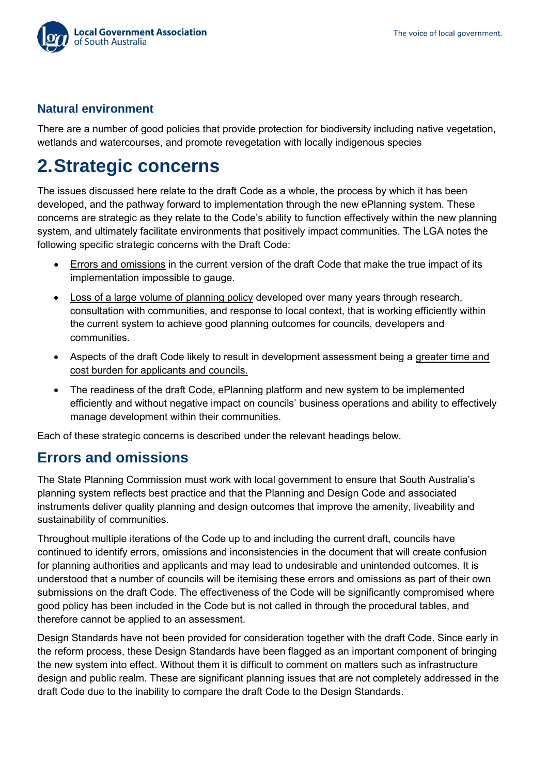

### **Natural environment**

There are a number of good policies that provide protection for biodiversity including native vegetation, wetlands and watercourses, and promote revegetation with locally indigenous species

# <span id="page-8-0"></span>**2.Strategic concerns**

The issues discussed here relate to the draft Code as a whole, the process by which it has been developed, and the pathway forward to implementation through the new ePlanning system. These concerns are strategic as they relate to the Code's ability to function effectively within the new planning system, and ultimately facilitate environments that positively impact communities. The LGA notes the following specific strategic concerns with the Draft Code:

- Errors and omissions in the current version of the draft Code that make the true impact of its implementation impossible to gauge.
- Loss of a large volume of planning policy developed over many years through research, consultation with communities, and response to local context, that is working efficiently within the current system to achieve good planning outcomes for councils, developers and communities.
- Aspects of the draft Code likely to result in development assessment being a greater time and cost burden for applicants and councils.
- The readiness of the draft Code, ePlanning platform and new system to be implemented efficiently and without negative impact on councils' business operations and ability to effectively manage development within their communities.

Each of these strategic concerns is described under the relevant headings below.

### <span id="page-8-1"></span>**Errors and omissions**

The State Planning Commission must work with local government to ensure that South Australia's planning system reflects best practice and that the Planning and Design Code and associated instruments deliver quality planning and design outcomes that improve the amenity, liveability and sustainability of communities.

Throughout multiple iterations of the Code up to and including the current draft, councils have continued to identify errors, omissions and inconsistencies in the document that will create confusion for planning authorities and applicants and may lead to undesirable and unintended outcomes. It is understood that a number of councils will be itemising these errors and omissions as part of their own submissions on the draft Code. The effectiveness of the Code will be significantly compromised where good policy has been included in the Code but is not called in through the procedural tables, and therefore cannot be applied to an assessment.

Design Standards have not been provided for consideration together with the draft Code. Since early in the reform process, these Design Standards have been flagged as an important component of bringing the new system into effect. Without them it is difficult to comment on matters such as infrastructure design and public realm. These are significant planning issues that are not completely addressed in the draft Code due to the inability to compare the draft Code to the Design Standards.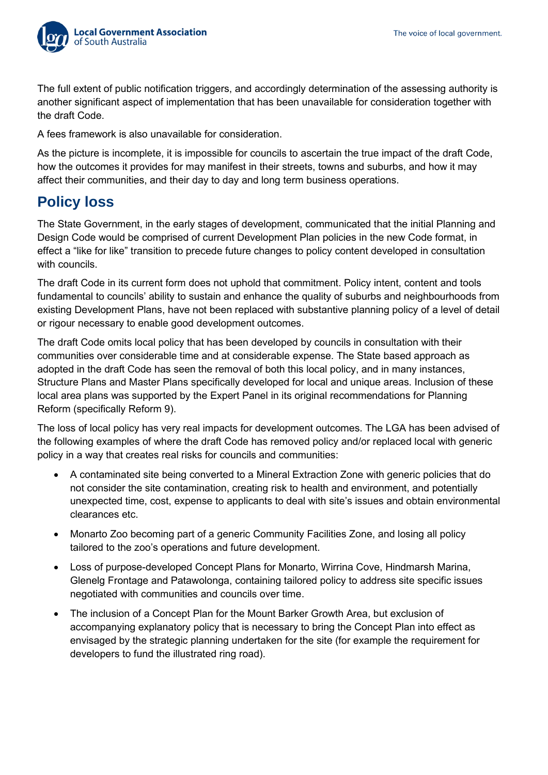

The full extent of public notification triggers, and accordingly determination of the assessing authority is another significant aspect of implementation that has been unavailable for consideration together with the draft Code.

A fees framework is also unavailable for consideration.

As the picture is incomplete, it is impossible for councils to ascertain the true impact of the draft Code, how the outcomes it provides for may manifest in their streets, towns and suburbs, and how it may affect their communities, and their day to day and long term business operations.

### <span id="page-9-0"></span>**Policy loss**

The State Government, in the early stages of development, communicated that the initial Planning and Design Code would be comprised of current Development Plan policies in the new Code format, in effect a "like for like" transition to precede future changes to policy content developed in consultation with councils.

The draft Code in its current form does not uphold that commitment. Policy intent, content and tools fundamental to councils' ability to sustain and enhance the quality of suburbs and neighbourhoods from existing Development Plans, have not been replaced with substantive planning policy of a level of detail or rigour necessary to enable good development outcomes.

The draft Code omits local policy that has been developed by councils in consultation with their communities over considerable time and at considerable expense. The State based approach as adopted in the draft Code has seen the removal of both this local policy, and in many instances, Structure Plans and Master Plans specifically developed for local and unique areas. Inclusion of these local area plans was supported by the Expert Panel in its original recommendations for Planning Reform (specifically Reform 9).

The loss of local policy has very real impacts for development outcomes. The LGA has been advised of the following examples of where the draft Code has removed policy and/or replaced local with generic policy in a way that creates real risks for councils and communities:

- A contaminated site being converted to a Mineral Extraction Zone with generic policies that do not consider the site contamination, creating risk to health and environment, and potentially unexpected time, cost, expense to applicants to deal with site's issues and obtain environmental clearances etc.
- Monarto Zoo becoming part of a generic Community Facilities Zone, and losing all policy tailored to the zoo's operations and future development.
- Loss of purpose-developed Concept Plans for Monarto, Wirrina Cove, Hindmarsh Marina, Glenelg Frontage and Patawolonga, containing tailored policy to address site specific issues negotiated with communities and councils over time.
- The inclusion of a Concept Plan for the Mount Barker Growth Area, but exclusion of accompanying explanatory policy that is necessary to bring the Concept Plan into effect as envisaged by the strategic planning undertaken for the site (for example the requirement for developers to fund the illustrated ring road).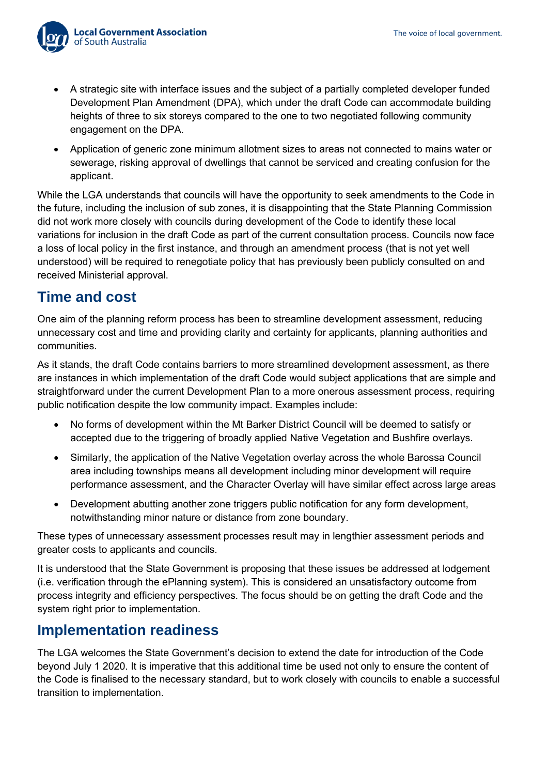

- A strategic site with interface issues and the subject of a partially completed developer funded Development Plan Amendment (DPA), which under the draft Code can accommodate building heights of three to six storeys compared to the one to two negotiated following community engagement on the DPA.
- Application of generic zone minimum allotment sizes to areas not connected to mains water or sewerage, risking approval of dwellings that cannot be serviced and creating confusion for the applicant.

While the LGA understands that councils will have the opportunity to seek amendments to the Code in the future, including the inclusion of sub zones, it is disappointing that the State Planning Commission did not work more closely with councils during development of the Code to identify these local variations for inclusion in the draft Code as part of the current consultation process. Councils now face a loss of local policy in the first instance, and through an amendment process (that is not yet well understood) will be required to renegotiate policy that has previously been publicly consulted on and received Ministerial approval.

### <span id="page-10-0"></span>**Time and cost**

One aim of the planning reform process has been to streamline development assessment, reducing unnecessary cost and time and providing clarity and certainty for applicants, planning authorities and communities.

As it stands, the draft Code contains barriers to more streamlined development assessment, as there are instances in which implementation of the draft Code would subject applications that are simple and straightforward under the current Development Plan to a more onerous assessment process, requiring public notification despite the low community impact. Examples include:

- No forms of development within the Mt Barker District Council will be deemed to satisfy or accepted due to the triggering of broadly applied Native Vegetation and Bushfire overlays.
- Similarly, the application of the Native Vegetation overlay across the whole Barossa Council area including townships means all development including minor development will require performance assessment, and the Character Overlay will have similar effect across large areas
- Development abutting another zone triggers public notification for any form development, notwithstanding minor nature or distance from zone boundary.

These types of unnecessary assessment processes result may in lengthier assessment periods and greater costs to applicants and councils.

It is understood that the State Government is proposing that these issues be addressed at lodgement (i.e. verification through the ePlanning system). This is considered an unsatisfactory outcome from process integrity and efficiency perspectives. The focus should be on getting the draft Code and the system right prior to implementation.

## <span id="page-10-1"></span>**Implementation readiness**

The LGA welcomes the State Government's decision to extend the date for introduction of the Code beyond July 1 2020. It is imperative that this additional time be used not only to ensure the content of the Code is finalised to the necessary standard, but to work closely with councils to enable a successful transition to implementation.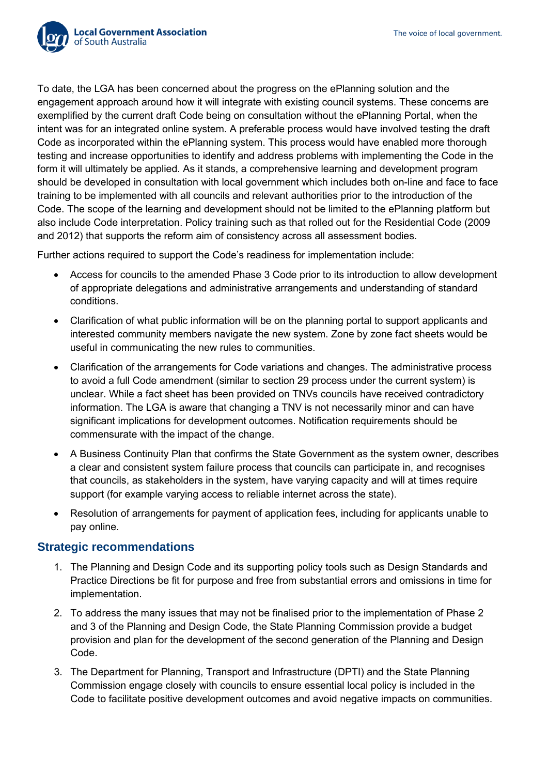

To date, the LGA has been concerned about the progress on the ePlanning solution and the engagement approach around how it will integrate with existing council systems. These concerns are exemplified by the current draft Code being on consultation without the ePlanning Portal, when the intent was for an integrated online system. A preferable process would have involved testing the draft Code as incorporated within the ePlanning system. This process would have enabled more thorough testing and increase opportunities to identify and address problems with implementing the Code in the form it will ultimately be applied. As it stands, a comprehensive learning and development program should be developed in consultation with local government which includes both on-line and face to face training to be implemented with all councils and relevant authorities prior to the introduction of the Code. The scope of the learning and development should not be limited to the ePlanning platform but also include Code interpretation. Policy training such as that rolled out for the Residential Code (2009 and 2012) that supports the reform aim of consistency across all assessment bodies.

Further actions required to support the Code's readiness for implementation include:

- Access for councils to the amended Phase 3 Code prior to its introduction to allow development of appropriate delegations and administrative arrangements and understanding of standard conditions.
- Clarification of what public information will be on the planning portal to support applicants and interested community members navigate the new system. Zone by zone fact sheets would be useful in communicating the new rules to communities.
- Clarification of the arrangements for Code variations and changes. The administrative process to avoid a full Code amendment (similar to section 29 process under the current system) is unclear. While a fact sheet has been provided on TNVs councils have received contradictory information. The LGA is aware that changing a TNV is not necessarily minor and can have significant implications for development outcomes. Notification requirements should be commensurate with the impact of the change.
- A Business Continuity Plan that confirms the State Government as the system owner, describes a clear and consistent system failure process that councils can participate in, and recognises that councils, as stakeholders in the system, have varying capacity and will at times require support (for example varying access to reliable internet across the state).
- Resolution of arrangements for payment of application fees, including for applicants unable to pay online.

#### <span id="page-11-0"></span>**Strategic recommendations**

- 1. The Planning and Design Code and its supporting policy tools such as Design Standards and Practice Directions be fit for purpose and free from substantial errors and omissions in time for implementation.
- 2. To address the many issues that may not be finalised prior to the implementation of Phase 2 and 3 of the Planning and Design Code, the State Planning Commission provide a budget provision and plan for the development of the second generation of the Planning and Design Code.
- 3. The Department for Planning, Transport and Infrastructure (DPTI) and the State Planning Commission engage closely with councils to ensure essential local policy is included in the Code to facilitate positive development outcomes and avoid negative impacts on communities.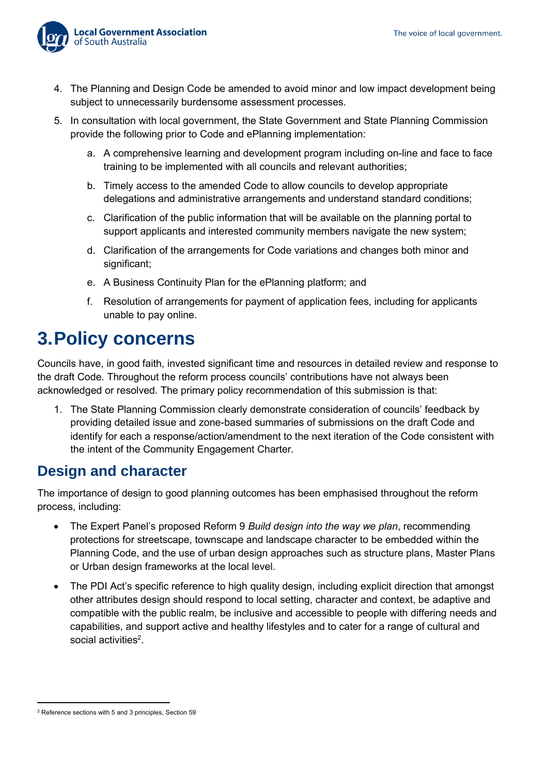

- 4. The Planning and Design Code be amended to avoid minor and low impact development being subject to unnecessarily burdensome assessment processes.
- 5. In consultation with local government, the State Government and State Planning Commission provide the following prior to Code and ePlanning implementation:
	- a. A comprehensive learning and development program including on-line and face to face training to be implemented with all councils and relevant authorities;
	- b. Timely access to the amended Code to allow councils to develop appropriate delegations and administrative arrangements and understand standard conditions;
	- c. Clarification of the public information that will be available on the planning portal to support applicants and interested community members navigate the new system;
	- d. Clarification of the arrangements for Code variations and changes both minor and significant;
	- e. A Business Continuity Plan for the ePlanning platform; and
	- f. Resolution of arrangements for payment of application fees, including for applicants unable to pay online.

# <span id="page-12-0"></span>**3.Policy concerns**

Councils have, in good faith, invested significant time and resources in detailed review and response to the draft Code. Throughout the reform process councils' contributions have not always been acknowledged or resolved. The primary policy recommendation of this submission is that:

1. The State Planning Commission clearly demonstrate consideration of councils' feedback by providing detailed issue and zone-based summaries of submissions on the draft Code and identify for each a response/action/amendment to the next iteration of the Code consistent with the intent of the Community Engagement Charter.

### <span id="page-12-1"></span>**Design and character**

The importance of design to good planning outcomes has been emphasised throughout the reform process, including:

- The Expert Panel's proposed Reform 9 *Build design into the way we plan*, recommending protections for streetscape, townscape and landscape character to be embedded within the Planning Code, and the use of urban design approaches such as structure plans, Master Plans or Urban design frameworks at the local level.
- The PDI Act's specific reference to high quality design, including explicit direction that amongst other attributes design should respond to local setting, character and context, be adaptive and compatible with the public realm, be inclusive and accessible to people with differing needs and capabilities, and support active and healthy lifestyles and to cater for a range of cultural and social activities $^2$ .

<sup>2</sup> Reference sections with 5 and 3 principles, Section 59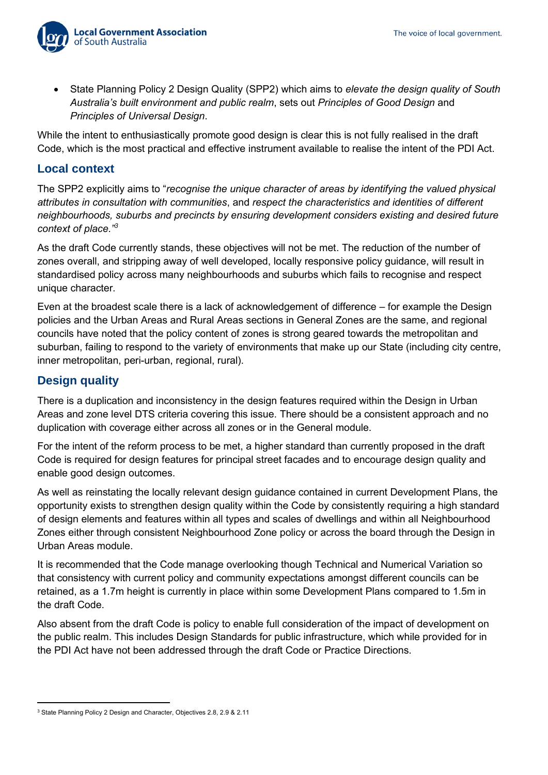

• State Planning Policy 2 Design Quality (SPP2) which aims to *elevate the design quality of South Australia's built environment and public realm*, sets out *Principles of Good Design* and *Principles of Universal Design*.

While the intent to enthusiastically promote good design is clear this is not fully realised in the draft Code, which is the most practical and effective instrument available to realise the intent of the PDI Act.

#### **Local context**

The SPP2 explicitly aims to "*recognise the unique character of areas by identifying the valued physical attributes in consultation with communities*, and *respect the characteristics and identities of different neighbourhoods, suburbs and precincts by ensuring development considers existing and desired future context of place." 3*

As the draft Code currently stands, these objectives will not be met. The reduction of the number of zones overall, and stripping away of well developed, locally responsive policy guidance, will result in standardised policy across many neighbourhoods and suburbs which fails to recognise and respect unique character.

Even at the broadest scale there is a lack of acknowledgement of difference – for example the Design policies and the Urban Areas and Rural Areas sections in General Zones are the same, and regional councils have noted that the policy content of zones is strong geared towards the metropolitan and suburban, failing to respond to the variety of environments that make up our State (including city centre, inner metropolitan, peri-urban, regional, rural).

#### **Design quality**

There is a duplication and inconsistency in the design features required within the Design in Urban Areas and zone level DTS criteria covering this issue. There should be a consistent approach and no duplication with coverage either across all zones or in the General module.

For the intent of the reform process to be met, a higher standard than currently proposed in the draft Code is required for design features for principal street facades and to encourage design quality and enable good design outcomes.

As well as reinstating the locally relevant design guidance contained in current Development Plans, the opportunity exists to strengthen design quality within the Code by consistently requiring a high standard of design elements and features within all types and scales of dwellings and within all Neighbourhood Zones either through consistent Neighbourhood Zone policy or across the board through the Design in Urban Areas module.

It is recommended that the Code manage overlooking though Technical and Numerical Variation so that consistency with current policy and community expectations amongst different councils can be retained, as a 1.7m height is currently in place within some Development Plans compared to 1.5m in the draft Code.

Also absent from the draft Code is policy to enable full consideration of the impact of development on the public realm. This includes Design Standards for public infrastructure, which while provided for in the PDI Act have not been addressed through the draft Code or Practice Directions.

<sup>3</sup> State Planning Policy 2 Design and Character, Objectives 2.8, 2.9 & 2.11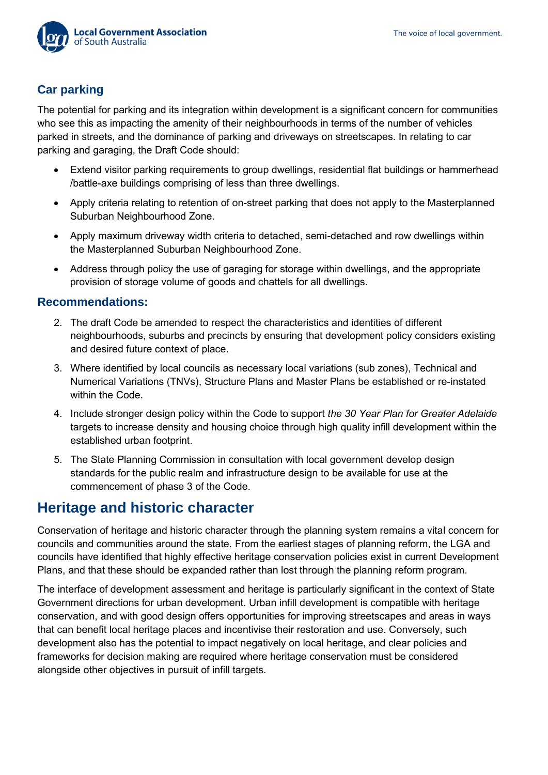

### <span id="page-14-0"></span>**Car parking**

The potential for parking and its integration within development is a significant concern for communities who see this as impacting the amenity of their neighbourhoods in terms of the number of vehicles parked in streets, and the dominance of parking and driveways on streetscapes. In relating to car parking and garaging, the Draft Code should:

- Extend visitor parking requirements to group dwellings, residential flat buildings or hammerhead /battle-axe buildings comprising of less than three dwellings.
- Apply criteria relating to retention of on-street parking that does not apply to the Masterplanned Suburban Neighbourhood Zone.
- Apply maximum driveway width criteria to detached, semi-detached and row dwellings within the Masterplanned Suburban Neighbourhood Zone.
- Address through policy the use of garaging for storage within dwellings, and the appropriate provision of storage volume of goods and chattels for all dwellings.

#### <span id="page-14-1"></span>**Recommendations:**

- 2. The draft Code be amended to respect the characteristics and identities of different neighbourhoods, suburbs and precincts by ensuring that development policy considers existing and desired future context of place.
- 3. Where identified by local councils as necessary local variations (sub zones), Technical and Numerical Variations (TNVs), Structure Plans and Master Plans be established or re-instated within the Code.
- 4. Include stronger design policy within the Code to support *the 30 Year Plan for Greater Adelaide* targets to increase density and housing choice through high quality infill development within the established urban footprint.
- 5. The State Planning Commission in consultation with local government develop design standards for the public realm and infrastructure design to be available for use at the commencement of phase 3 of the Code.

### <span id="page-14-2"></span>**Heritage and historic character**

Conservation of heritage and historic character through the planning system remains a vital concern for councils and communities around the state. From the earliest stages of planning reform, the LGA and councils have identified that highly effective heritage conservation policies exist in current Development Plans, and that these should be expanded rather than lost through the planning reform program.

The interface of development assessment and heritage is particularly significant in the context of State Government directions for urban development. Urban infill development is compatible with heritage conservation, and with good design offers opportunities for improving streetscapes and areas in ways that can benefit local heritage places and incentivise their restoration and use. Conversely, such development also has the potential to impact negatively on local heritage, and clear policies and frameworks for decision making are required where heritage conservation must be considered alongside other objectives in pursuit of infill targets.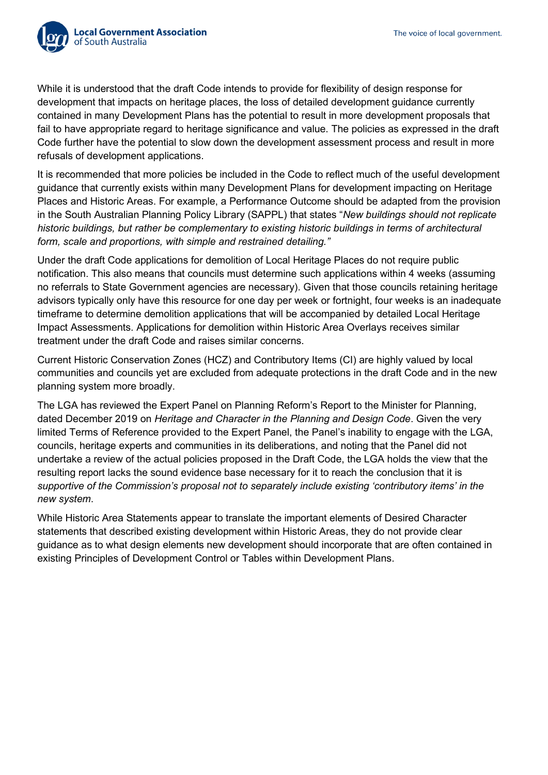

While it is understood that the draft Code intends to provide for flexibility of design response for development that impacts on heritage places, the loss of detailed development guidance currently contained in many Development Plans has the potential to result in more development proposals that fail to have appropriate regard to heritage significance and value. The policies as expressed in the draft Code further have the potential to slow down the development assessment process and result in more refusals of development applications.

It is recommended that more policies be included in the Code to reflect much of the useful development guidance that currently exists within many Development Plans for development impacting on Heritage Places and Historic Areas. For example, a Performance Outcome should be adapted from the provision in the South Australian Planning Policy Library (SAPPL) that states "*New buildings should not replicate historic buildings, but rather be complementary to existing historic buildings in terms of architectural form, scale and proportions, with simple and restrained detailing."*

Under the draft Code applications for demolition of Local Heritage Places do not require public notification. This also means that councils must determine such applications within 4 weeks (assuming no referrals to State Government agencies are necessary). Given that those councils retaining heritage advisors typically only have this resource for one day per week or fortnight, four weeks is an inadequate timeframe to determine demolition applications that will be accompanied by detailed Local Heritage Impact Assessments. Applications for demolition within Historic Area Overlays receives similar treatment under the draft Code and raises similar concerns.

Current Historic Conservation Zones (HCZ) and Contributory Items (CI) are highly valued by local communities and councils yet are excluded from adequate protections in the draft Code and in the new planning system more broadly.

The LGA has reviewed the Expert Panel on Planning Reform's Report to the Minister for Planning, dated December 2019 on *Heritage and Character in the Planning and Design Code*. Given the very limited Terms of Reference provided to the Expert Panel, the Panel's inability to engage with the LGA, councils, heritage experts and communities in its deliberations, and noting that the Panel did not undertake a review of the actual policies proposed in the Draft Code, the LGA holds the view that the resulting report lacks the sound evidence base necessary for it to reach the conclusion that it is *supportive of the Commission's proposal not to separately include existing 'contributory items' in the new system*.

While Historic Area Statements appear to translate the important elements of Desired Character statements that described existing development within Historic Areas, they do not provide clear guidance as to what design elements new development should incorporate that are often contained in existing Principles of Development Control or Tables within Development Plans.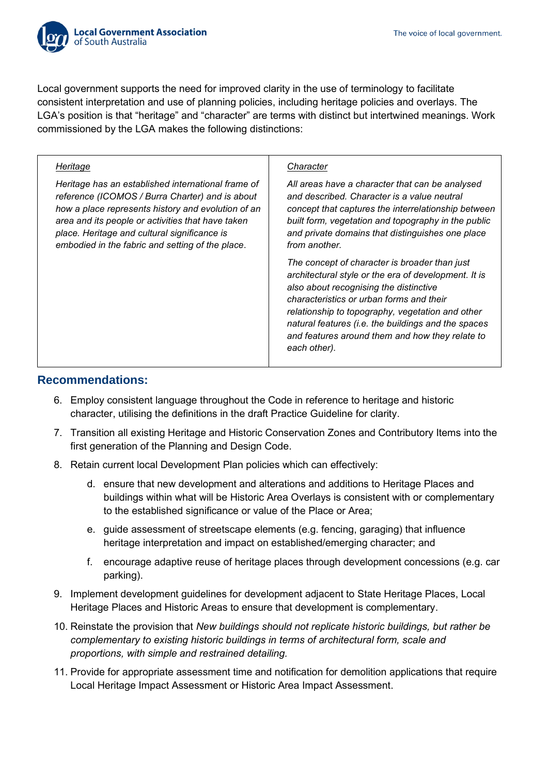

Local government supports the need for improved clarity in the use of terminology to facilitate consistent interpretation and use of planning policies, including heritage policies and overlays. The LGA's position is that "heritage" and "character" are terms with distinct but intertwined meanings. Work commissioned by the LGA makes the following distinctions:

#### *Heritage*

*Heritage has an established international frame of reference (ICOMOS / Burra Charter) and is about how a place represents history and evolution of an area and its people or activities that have taken place. Heritage and cultural significance is embodied in the fabric and setting of the place*.

#### *Character*

*All areas have a character that can be analysed and described. Character is a value neutral concept that captures the interrelationship between built form, vegetation and topography in the public and private domains that distinguishes one place from another.*

*The concept of character is broader than just architectural style or the era of development. It is also about recognising the distinctive characteristics or urban forms and their relationship to topography, vegetation and other natural features (i.e. the buildings and the spaces and features around them and how they relate to each other).*

#### <span id="page-16-0"></span>**Recommendations:**

- 6. Employ consistent language throughout the Code in reference to heritage and historic character, utilising the definitions in the draft Practice Guideline for clarity.
- 7. Transition all existing Heritage and Historic Conservation Zones and Contributory Items into the first generation of the Planning and Design Code.
- 8. Retain current local Development Plan policies which can effectively:
	- d. ensure that new development and alterations and additions to Heritage Places and buildings within what will be Historic Area Overlays is consistent with or complementary to the established significance or value of the Place or Area;
	- e. guide assessment of streetscape elements (e.g. fencing, garaging) that influence heritage interpretation and impact on established/emerging character; and
	- f. encourage adaptive reuse of heritage places through development concessions (e.g. car parking).
- 9. Implement development guidelines for development adjacent to State Heritage Places, Local Heritage Places and Historic Areas to ensure that development is complementary.
- 10. Reinstate the provision that *New buildings should not replicate historic buildings, but rather be complementary to existing historic buildings in terms of architectural form, scale and proportions, with simple and restrained detailing.*
- 11. Provide for appropriate assessment time and notification for demolition applications that require Local Heritage Impact Assessment or Historic Area Impact Assessment.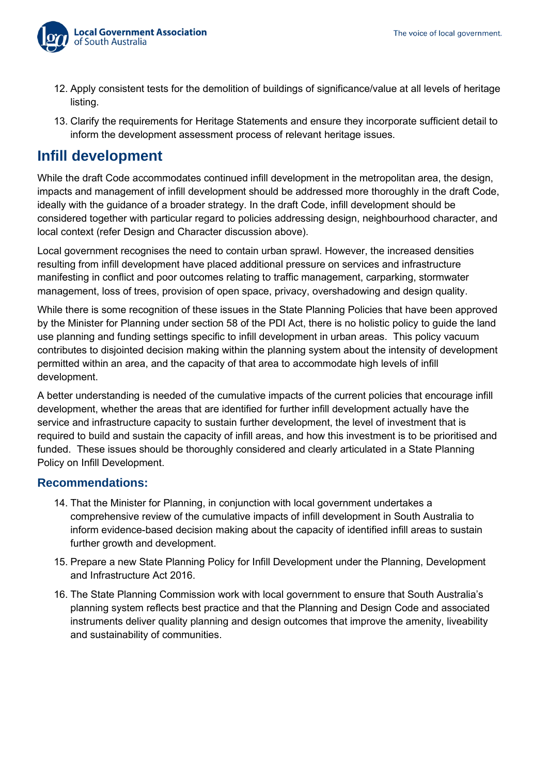

- 12. Apply consistent tests for the demolition of buildings of significance/value at all levels of heritage listing.
- 13. Clarify the requirements for Heritage Statements and ensure they incorporate sufficient detail to inform the development assessment process of relevant heritage issues.

### <span id="page-17-0"></span>**Infill development**

While the draft Code accommodates continued infill development in the metropolitan area, the design, impacts and management of infill development should be addressed more thoroughly in the draft Code, ideally with the guidance of a broader strategy. In the draft Code, infill development should be considered together with particular regard to policies addressing design, neighbourhood character, and local context (refer Design and Character discussion above).

Local government recognises the need to contain urban sprawl. However, the increased densities resulting from infill development have placed additional pressure on services and infrastructure manifesting in conflict and poor outcomes relating to traffic management, carparking, stormwater management, loss of trees, provision of open space, privacy, overshadowing and design quality.

While there is some recognition of these issues in the State Planning Policies that have been approved by the Minister for Planning under section 58 of the PDI Act, there is no holistic policy to guide the land use planning and funding settings specific to infill development in urban areas. This policy vacuum contributes to disjointed decision making within the planning system about the intensity of development permitted within an area, and the capacity of that area to accommodate high levels of infill development.

A better understanding is needed of the cumulative impacts of the current policies that encourage infill development, whether the areas that are identified for further infill development actually have the service and infrastructure capacity to sustain further development, the level of investment that is required to build and sustain the capacity of infill areas, and how this investment is to be prioritised and funded. These issues should be thoroughly considered and clearly articulated in a State Planning Policy on Infill Development.

#### <span id="page-17-1"></span>**Recommendations:**

- 14. That the Minister for Planning, in conjunction with local government undertakes a comprehensive review of the cumulative impacts of infill development in South Australia to inform evidence-based decision making about the capacity of identified infill areas to sustain further growth and development.
- 15. Prepare a new State Planning Policy for Infill Development under the Planning, Development and Infrastructure Act 2016.
- 16. The State Planning Commission work with local government to ensure that South Australia's planning system reflects best practice and that the Planning and Design Code and associated instruments deliver quality planning and design outcomes that improve the amenity, liveability and sustainability of communities.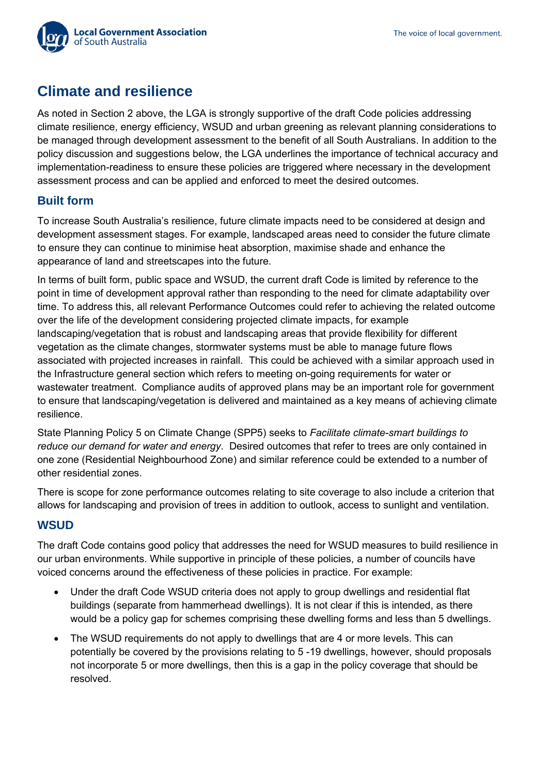

## <span id="page-18-0"></span>**Climate and resilience**

As noted in Section 2 above, the LGA is strongly supportive of the draft Code policies addressing climate resilience, energy efficiency, WSUD and urban greening as relevant planning considerations to be managed through development assessment to the benefit of all South Australians. In addition to the policy discussion and suggestions below, the LGA underlines the importance of technical accuracy and implementation-readiness to ensure these policies are triggered where necessary in the development assessment process and can be applied and enforced to meet the desired outcomes.

#### <span id="page-18-1"></span>**Built form**

To increase South Australia's resilience, future climate impacts need to be considered at design and development assessment stages. For example, landscaped areas need to consider the future climate to ensure they can continue to minimise heat absorption, maximise shade and enhance the appearance of land and streetscapes into the future.

In terms of built form, public space and WSUD, the current draft Code is limited by reference to the point in time of development approval rather than responding to the need for climate adaptability over time. To address this, all relevant Performance Outcomes could refer to achieving the related outcome over the life of the development considering projected climate impacts, for example landscaping/vegetation that is robust and landscaping areas that provide flexibility for different vegetation as the climate changes, stormwater systems must be able to manage future flows associated with projected increases in rainfall. This could be achieved with a similar approach used in the Infrastructure general section which refers to meeting on-going requirements for water or wastewater treatment. Compliance audits of approved plans may be an important role for government to ensure that landscaping/vegetation is delivered and maintained as a key means of achieving climate resilience.

State Planning Policy 5 on Climate Change (SPP5) seeks to *Facilitate climate-smart buildings to reduce our demand for water and energy*. Desired outcomes that refer to trees are only contained in one zone (Residential Neighbourhood Zone) and similar reference could be extended to a number of other residential zones.

There is scope for zone performance outcomes relating to site coverage to also include a criterion that allows for landscaping and provision of trees in addition to outlook, access to sunlight and ventilation.

#### **WSUD**

The draft Code contains good policy that addresses the need for WSUD measures to build resilience in our urban environments. While supportive in principle of these policies, a number of councils have voiced concerns around the effectiveness of these policies in practice. For example:

- Under the draft Code WSUD criteria does not apply to group dwellings and residential flat buildings (separate from hammerhead dwellings). It is not clear if this is intended, as there would be a policy gap for schemes comprising these dwelling forms and less than 5 dwellings.
- The WSUD requirements do not apply to dwellings that are 4 or more levels. This can potentially be covered by the provisions relating to 5 -19 dwellings, however, should proposals not incorporate 5 or more dwellings, then this is a gap in the policy coverage that should be resolved.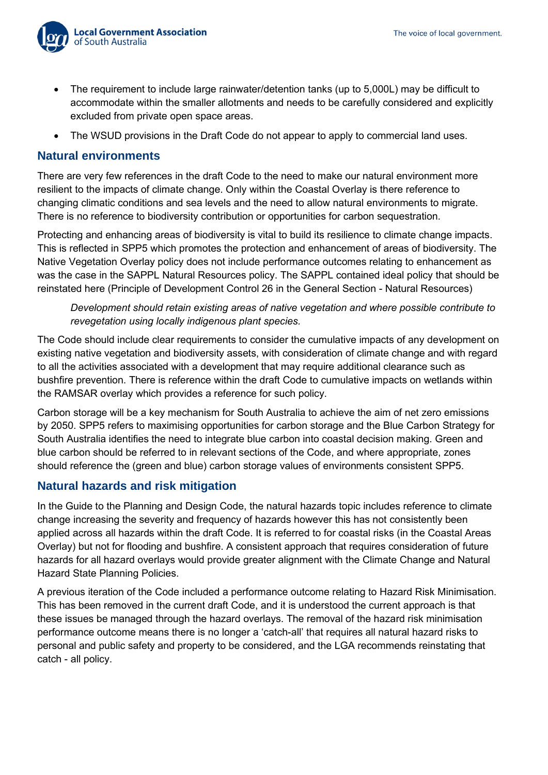

- The requirement to include large rainwater/detention tanks (up to 5,000L) may be difficult to accommodate within the smaller allotments and needs to be carefully considered and explicitly excluded from private open space areas.
- The WSUD provisions in the Draft Code do not appear to apply to commercial land uses.

#### <span id="page-19-0"></span>**Natural environments**

There are very few references in the draft Code to the need to make our natural environment more resilient to the impacts of climate change. Only within the Coastal Overlay is there reference to changing climatic conditions and sea levels and the need to allow natural environments to migrate. There is no reference to biodiversity contribution or opportunities for carbon sequestration.

Protecting and enhancing areas of biodiversity is vital to build its resilience to climate change impacts. This is reflected in SPP5 which promotes the protection and enhancement of areas of biodiversity. The Native Vegetation Overlay policy does not include performance outcomes relating to enhancement as was the case in the SAPPL Natural Resources policy. The SAPPL contained ideal policy that should be reinstated here (Principle of Development Control 26 in the General Section - Natural Resources)

*Development should retain existing areas of native vegetation and where possible contribute to revegetation using locally indigenous plant species.*

The Code should include clear requirements to consider the cumulative impacts of any development on existing native vegetation and biodiversity assets, with consideration of climate change and with regard to all the activities associated with a development that may require additional clearance such as bushfire prevention. There is reference within the draft Code to cumulative impacts on wetlands within the RAMSAR overlay which provides a reference for such policy.

Carbon storage will be a key mechanism for South Australia to achieve the aim of net zero emissions by 2050. SPP5 refers to maximising opportunities for carbon storage and the Blue Carbon Strategy for South Australia identifies the need to integrate blue carbon into coastal decision making. Green and blue carbon should be referred to in relevant sections of the Code, and where appropriate, zones should reference the (green and blue) carbon storage values of environments consistent SPP5.

#### <span id="page-19-1"></span>**Natural hazards and risk mitigation**

In the Guide to the Planning and Design Code, the natural hazards topic includes reference to climate change increasing the severity and frequency of hazards however this has not consistently been applied across all hazards within the draft Code. It is referred to for coastal risks (in the Coastal Areas Overlay) but not for flooding and bushfire. A consistent approach that requires consideration of future hazards for all hazard overlays would provide greater alignment with the Climate Change and Natural Hazard State Planning Policies.

A previous iteration of the Code included a performance outcome relating to Hazard Risk Minimisation. This has been removed in the current draft Code, and it is understood the current approach is that these issues be managed through the hazard overlays. The removal of the hazard risk minimisation performance outcome means there is no longer a 'catch-all' that requires all natural hazard risks to personal and public safety and property to be considered, and the LGA recommends reinstating that catch - all policy.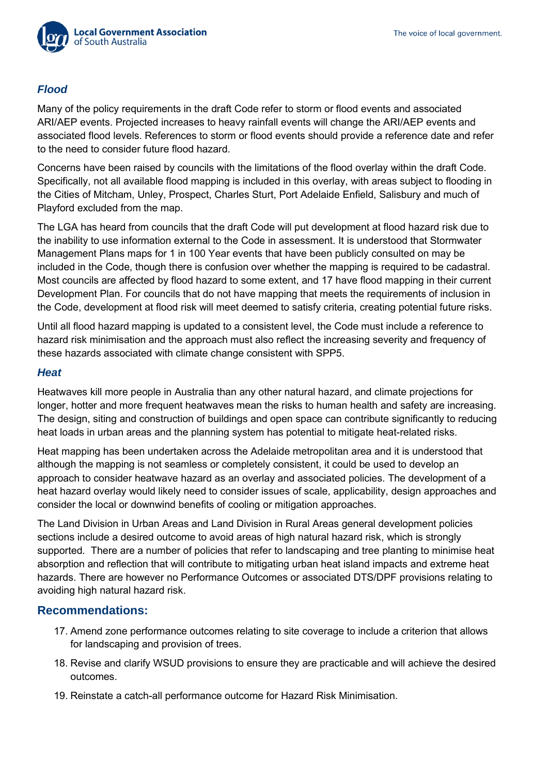### *Flood*

Many of the policy requirements in the draft Code refer to storm or flood events and associated ARI/AEP events. Projected increases to heavy rainfall events will change the ARI/AEP events and associated flood levels. References to storm or flood events should provide a reference date and refer to the need to consider future flood hazard.

Concerns have been raised by councils with the limitations of the flood overlay within the draft Code. Specifically, not all available flood mapping is included in this overlay, with areas subject to flooding in the Cities of Mitcham, Unley, Prospect, Charles Sturt, Port Adelaide Enfield, Salisbury and much of Playford excluded from the map.

The LGA has heard from councils that the draft Code will put development at flood hazard risk due to the inability to use information external to the Code in assessment. It is understood that Stormwater Management Plans maps for 1 in 100 Year events that have been publicly consulted on may be included in the Code, though there is confusion over whether the mapping is required to be cadastral. Most councils are affected by flood hazard to some extent, and 17 have flood mapping in their current Development Plan. For councils that do not have mapping that meets the requirements of inclusion in the Code, development at flood risk will meet deemed to satisfy criteria, creating potential future risks.

Until all flood hazard mapping is updated to a consistent level, the Code must include a reference to hazard risk minimisation and the approach must also reflect the increasing severity and frequency of these hazards associated with climate change consistent with SPP5.

#### *Heat*

Heatwaves kill more people in Australia than any other natural hazard, and climate projections for longer, hotter and more frequent heatwaves mean the risks to human health and safety are increasing. The design, siting and construction of buildings and open space can contribute significantly to reducing heat loads in urban areas and the planning system has potential to mitigate heat-related risks.

Heat mapping has been undertaken across the Adelaide metropolitan area and it is understood that although the mapping is not seamless or completely consistent, it could be used to develop an approach to consider heatwave hazard as an overlay and associated policies. The development of a heat hazard overlay would likely need to consider issues of scale, applicability, design approaches and consider the local or downwind benefits of cooling or mitigation approaches.

The Land Division in Urban Areas and Land Division in Rural Areas general development policies sections include a desired outcome to avoid areas of high natural hazard risk, which is strongly supported. There are a number of policies that refer to landscaping and tree planting to minimise heat absorption and reflection that will contribute to mitigating urban heat island impacts and extreme heat hazards. There are however no Performance Outcomes or associated DTS/DPF provisions relating to avoiding high natural hazard risk.

#### <span id="page-20-0"></span>**Recommendations:**

- 17. Amend zone performance outcomes relating to site coverage to include a criterion that allows for landscaping and provision of trees.
- 18. Revise and clarify WSUD provisions to ensure they are practicable and will achieve the desired outcomes.
- 19. Reinstate a catch-all performance outcome for Hazard Risk Minimisation.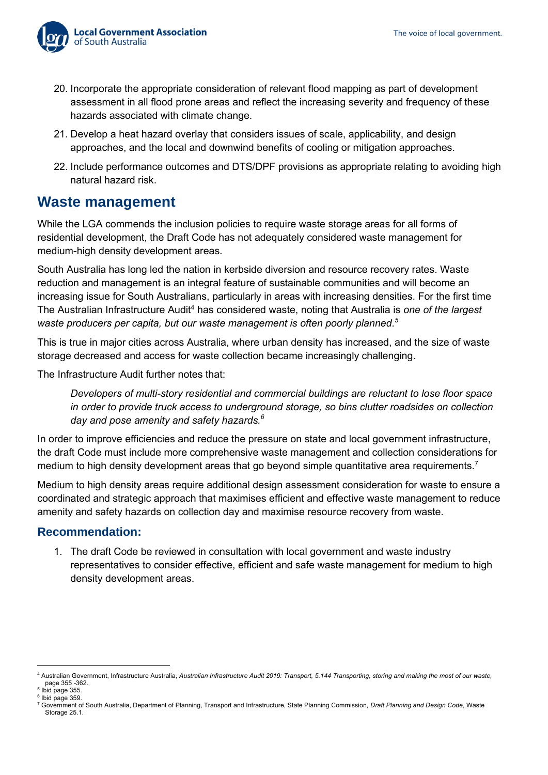

- 20. Incorporate the appropriate consideration of relevant flood mapping as part of development assessment in all flood prone areas and reflect the increasing severity and frequency of these hazards associated with climate change.
- 21. Develop a heat hazard overlay that considers issues of scale, applicability, and design approaches, and the local and downwind benefits of cooling or mitigation approaches.
- 22. Include performance outcomes and DTS/DPF provisions as appropriate relating to avoiding high natural hazard risk.

### <span id="page-21-0"></span>**Waste management**

While the LGA commends the inclusion policies to require waste storage areas for all forms of residential development, the Draft Code has not adequately considered waste management for medium-high density development areas.

South Australia has long led the nation in kerbside diversion and resource recovery rates. Waste reduction and management is an integral feature of sustainable communities and will become an increasing issue for South Australians, particularly in areas with increasing densities. For the first time The Australian Infrastructure Audit<sup>4</sup> has considered waste, noting that Australia is *one of the largest waste producers per capita, but our waste management is often poorly planned. 5*

This is true in major cities across Australia, where urban density has increased, and the size of waste storage decreased and access for waste collection became increasingly challenging.

The Infrastructure Audit further notes that:

*Developers of multi-story residential and commercial buildings are reluctant to lose floor space in order to provide truck access to underground storage, so bins clutter roadsides on collection day and pose amenity and safety hazards.<sup>6</sup>*

In order to improve efficiencies and reduce the pressure on state and local government infrastructure, the draft Code must include more comprehensive waste management and collection considerations for medium to high density development areas that go beyond simple quantitative area requirements.<sup>7</sup>

Medium to high density areas require additional design assessment consideration for waste to ensure a coordinated and strategic approach that maximises efficient and effective waste management to reduce amenity and safety hazards on collection day and maximise resource recovery from waste.

#### <span id="page-21-1"></span>**Recommendation:**

1. The draft Code be reviewed in consultation with local government and waste industry representatives to consider effective, efficient and safe waste management for medium to high density development areas.

<sup>4</sup> Australian Government, Infrastructure Australia, *Australian Infrastructure Audit 2019: Transport, 5.144 Transporting, storing and making the most of our waste,*  page 355 *-*362. 5

Ibid page 355.  $^6$  Ibid page 359.

<sup>7</sup> Government of South Australia, Department of Planning, Transport and Infrastructure, State Planning Commission, *Draft Planning and Design Code*, Waste Storage 25.1.